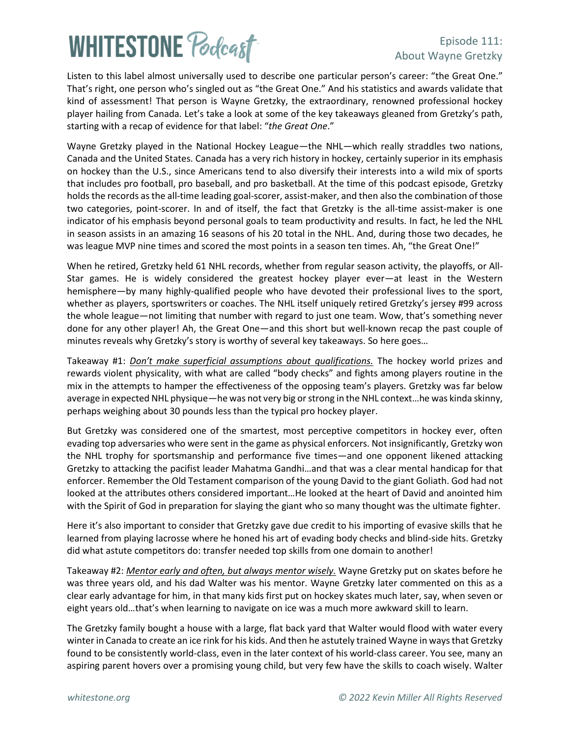# **WHITESTONE Poclast**

### Episode 111: About Wayne Gretzky

Listen to this label almost universally used to describe one particular person's career: "the Great One." That's right, one person who's singled out as "the Great One." And his statistics and awards validate that kind of assessment! That person is Wayne Gretzky, the extraordinary, renowned professional hockey player hailing from Canada. Let's take a look at some of the key takeaways gleaned from Gretzky's path, starting with a recap of evidence for that label: "*the Great One*."

Wayne Gretzky played in the National Hockey League—the NHL—which really straddles two nations, Canada and the United States. Canada has a very rich history in hockey, certainly superior in its emphasis on hockey than the U.S., since Americans tend to also diversify their interests into a wild mix of sports that includes pro football, pro baseball, and pro basketball. At the time of this podcast episode, Gretzky holds the records asthe all-time leading goal-scorer, assist-maker, and then also the combination of those two categories, point-scorer. In and of itself, the fact that Gretzky is the all-time assist-maker is one indicator of his emphasis beyond personal goals to team productivity and results. In fact, he led the NHL in season assists in an amazing 16 seasons of his 20 total in the NHL. And, during those two decades, he was league MVP nine times and scored the most [points](https://en.wikipedia.org/wiki/Point_(ice_hockey)) in a season ten times. Ah, "the Great One!"

When he retired, Gretzky held 61 NHL records, whether from regular season activity, the playoffs, or All-Star games. He is widely considered the greatest hockey player ever—at least in the Western hemisphere—by many highly-qualified people who have devoted their professional lives to the sport, whether as players, sportswriters or coaches. The NHL itself uniquely retired Gretzky's jersey #99 across the whole league—not limiting that number with regard to just one team. Wow, that's something never done for any other player! Ah, the Great One—and this short but well-known recap the past couple of minutes reveals why Gretzky's story is worthy of several key takeaways. So here goes…

Takeaway #1: *Don't make superficial assumptions about qualifications.* The hockey world prizes and rewards violent physicality, with what are called "body checks" and fights among players routine in the mix in the attempts to hamper the effectiveness of the opposing team's players. Gretzky was far below average in expected NHL physique—he was not very big or strong in the NHL context…he was kinda skinny, perhaps weighing about 30 pounds less than the typical pro hockey player.

But Gretzky was considered one of the smartest, most perceptive competitors in hockey ever, often evading top adversaries who were sent in the game as physical enforcers. Not insignificantly, Gretzky won the NHL trophy for sportsmanship and performance five times—and one opponent likened attacking Gretzky to attacking the pacifist leader Mahatma Gandhi…and that was a clear mental handicap for that enforcer. Remember the Old Testament comparison of the young David to the giant Goliath. God had not looked at the attributes others considered important…He looked at the heart of David and anointed him with the Spirit of God in preparation for slaying the giant who so many thought was the ultimate fighter.

Here it's also important to consider that Gretzky gave due credit to his importing of evasive skills that he learned from playing lacrosse where he honed his art of evading body checks and blind-side hits. Gretzky did what astute competitors do: transfer needed top skills from one domain to another!

Takeaway #2: *Mentor early and often, but always mentor wisely.* Wayne Gretzky put on skates before he was three years old, and his dad Walter was his mentor. Wayne Gretzky later commented on this as a clear early advantage for him, in that many kids first put on hockey skates much later, say, when seven or eight years old…that's when learning to navigate on ice was a much more awkward skill to learn.

The Gretzky family bought a house with a large, flat back yard that Walter would flood with water every winter in Canada to create an ice rink for his kids. And then he astutely trained Wayne in ways that Gretzky found to be consistently world-class, even in the later context of his world-class career. You see, many an aspiring parent hovers over a promising young child, but very few have the skills to coach wisely. Walter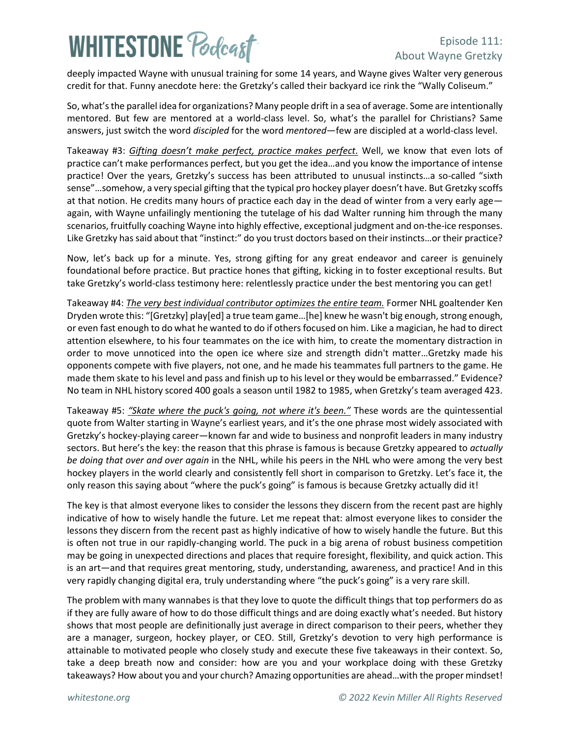## **WHITESTONE Podcast**

#### Episode 111: About Wayne Gretzky

deeply impacted Wayne with unusual training for some 14 years, and Wayne gives Walter very generous credit for that. Funny anecdote here: the Gretzky's called their backyard ice rink the "Wally Coliseum."

So, what's the parallel idea for organizations? Many people drift in a sea of average. Some are intentionally mentored. But few are mentored at a world-class level. So, what's the parallel for Christians? Same answers, just switch the word *discipled* for the word *mentored*—few are discipled at a world-class level.

Takeaway #3: *Gifting doesn't make perfect, practice makes perfect.* Well, we know that even lots of practice can't make performances perfect, but you get the idea…and you know the importance of intense practice! Over the years, Gretzky's success has been attributed to unusual instincts…a so-called "sixth sense"…somehow, a very special gifting that the typical pro hockey player doesn't have. But Gretzky scoffs at that notion. He credits many hours of practice each day in the dead of winter from a very early age again, with Wayne unfailingly mentioning the tutelage of his dad Walter running him through the many scenarios, fruitfully coaching Wayne into highly effective, exceptional judgment and on-the-ice responses. Like Gretzky has said about that "instinct:" do you trust doctors based on their instincts…or their practice?

Now, let's back up for a minute. Yes, strong gifting for any great endeavor and career is genuinely foundational before practice. But practice hones that gifting, kicking in to foster exceptional results. But take Gretzky's world-class testimony here: relentlessly practice under the best mentoring you can get!

Takeaway #4: *The very best individual contributor optimizes the entire team.* Former NHL goaltender [Ken](https://en.wikipedia.org/wiki/Ken_Dryden)  [Dryden](https://en.wikipedia.org/wiki/Ken_Dryden) wrote this: "[Gretzky] play[ed] a true team game…[he] knew he wasn't big enough, strong enough, or even fast enough to do what he wanted to do if others focused on him. Like a magician, he had to direct attention elsewhere, to his four teammates on the ice with him, to create the momentary distraction in order to move unnoticed into the open ice where size and strength didn't matter…Gretzky made his opponents compete with five players, not one, and he made his teammates full partners to the game. He made them skate to his level and pass and finish up to his level or they would be embarrassed." Evidence? No team in NHL history scored 400 goals a season until 1982 to 1985, when Gretzky's team averaged 423.

Takeaway #5: *"Skate where the puck's going, not where it's been."* These words are the quintessential quote from Walter starting in Wayne's earliest years, and it's the one phrase most widely associated with Gretzky's hockey-playing career—known far and wide to business and nonprofit leaders in many industry sectors. But here's the key: the reason that this phrase is famous is because Gretzky appeared to *actually be doing that over and over again* in the NHL, while his peers in the NHL who were among the very best hockey players in the world clearly and consistently fell short in comparison to Gretzky. Let's face it, the only reason this saying about "where the puck's going" is famous is because Gretzky actually did it!

The key is that almost everyone likes to consider the lessons they discern from the recent past are highly indicative of how to wisely handle the future. Let me repeat that: almost everyone likes to consider the lessons they discern from the recent past as highly indicative of how to wisely handle the future. But this is often not true in our rapidly-changing world. The puck in a big arena of robust business competition may be going in unexpected directions and places that require foresight, flexibility, and quick action. This is an art—and that requires great mentoring, study, understanding, awareness, and practice! And in this very rapidly changing digital era, truly understanding where "the puck's going" is a very rare skill.

The problem with many wannabes is that they love to quote the difficult things that top performers do as if they are fully aware of how to do those difficult things and are doing exactly what's needed. But history shows that most people are definitionally just average in direct comparison to their peers, whether they are a manager, surgeon, hockey player, or CEO. Still, Gretzky's devotion to very high performance is attainable to motivated people who closely study and execute these five takeaways in their context. So, take a deep breath now and consider: how are you and your workplace doing with these Gretzky takeaways? How about you and your church? Amazing opportunities are ahead…with the proper mindset!